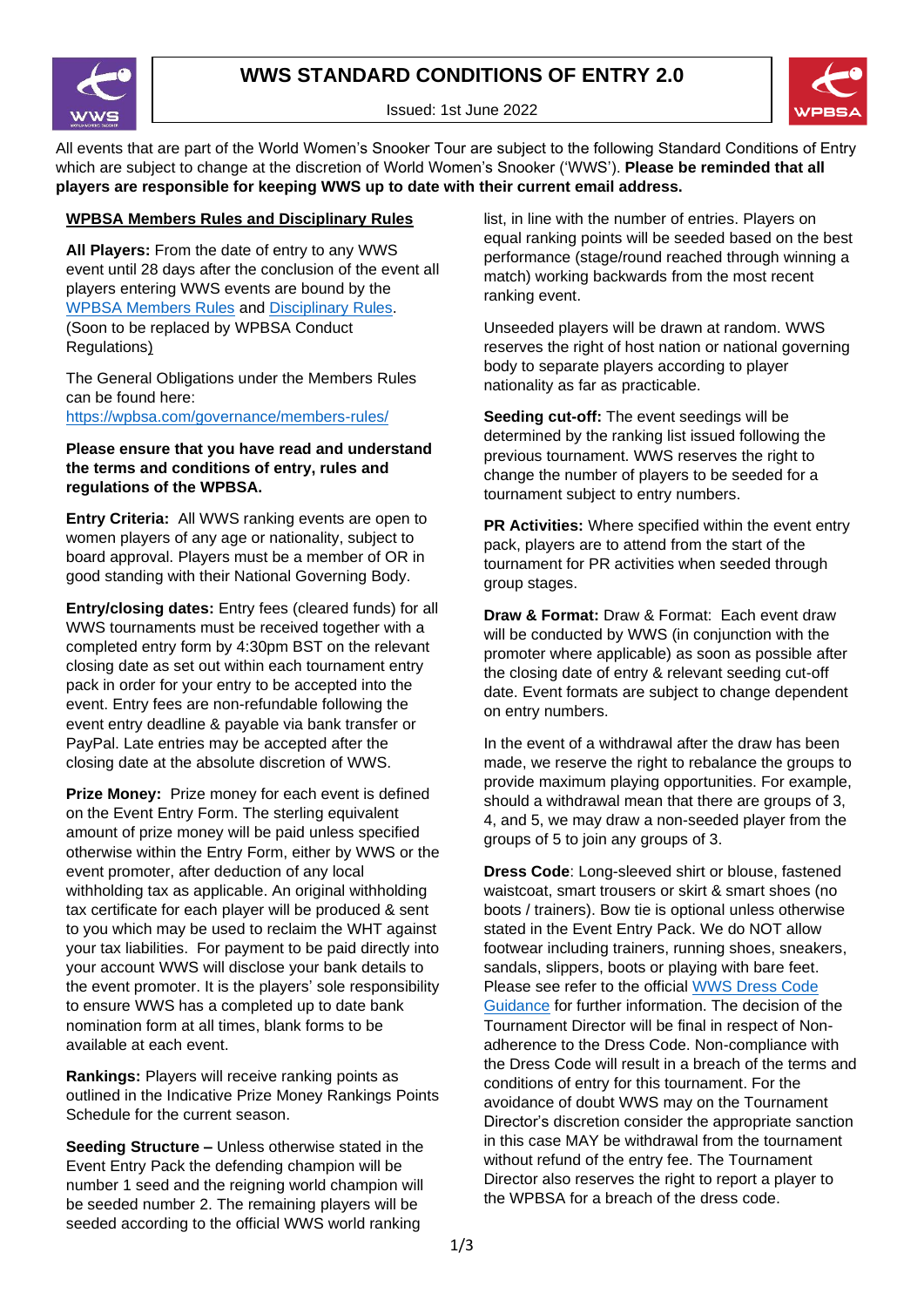

Issued: 1st June 2022



All events that are part of the World Women's Snooker Tour are subject to the following Standard Conditions of Entry which are subject to change at the discretion of World Women's Snooker ('WWS'). **Please be reminded that all players are responsible for keeping WWS up to date with their current email address.**

## **WPBSA Members Rules and Disciplinary Rules**

**All Players:** From the date of entry to any WWS event until 28 days after the conclusion of the event all players entering WWS events are bound by the [WPBSA Members Rules](https://wpbsa.com/governance/members-rules/) and [Disciplinary Rules.](https://wpbsa.com/wp-content/uploads/disciplinary-rules-1.pdf) (Soon to be replaced by WPBSA Conduct Regulations)

The General Obligations under the Members Rules can be found here: <https://wpbsa.com/governance/members-rules/>

**Please ensure that you have read and understand the terms and conditions of entry, rules and regulations of the WPBSA.**

**Entry Criteria:** All WWS ranking events are open to women players of any age or nationality, subject to board approval. Players must be a member of OR in good standing with their National Governing Body.

**Entry/closing dates:** Entry fees (cleared funds) for all WWS tournaments must be received together with a completed entry form by 4:30pm BST on the relevant closing date as set out within each tournament entry pack in order for your entry to be accepted into the event. Entry fees are non-refundable following the event entry deadline & payable via bank transfer or PayPal. Late entries may be accepted after the closing date at the absolute discretion of WWS.

**Prize Money:** Prize money for each event is defined on the Event Entry Form. The sterling equivalent amount of prize money will be paid unless specified otherwise within the Entry Form, either by WWS or the event promoter, after deduction of any local withholding tax as applicable. An original withholding tax certificate for each player will be produced & sent to you which may be used to reclaim the WHT against your tax liabilities. For payment to be paid directly into your account WWS will disclose your bank details to the event promoter. It is the players' sole responsibility to ensure WWS has a completed up to date bank nomination form at all times, blank forms to be available at each event.

**Rankings:** Players will receive ranking points as outlined in the Indicative Prize Money Rankings Points Schedule for the current season.

**Seeding Structure –** Unless otherwise stated in the Event Entry Pack the defending champion will be number 1 seed and the reigning world champion will be seeded number 2. The remaining players will be seeded according to the official WWS world ranking

list, in line with the number of entries. Players on equal ranking points will be seeded based on the best performance (stage/round reached through winning a match) working backwards from the most recent ranking event.

Unseeded players will be drawn at random. WWS reserves the right of host nation or national governing body to separate players according to player nationality as far as practicable.

**Seeding cut-off:** The event seedings will be determined by the ranking list issued following the previous tournament. WWS reserves the right to change the number of players to be seeded for a tournament subject to entry numbers.

**PR Activities:** Where specified within the event entry pack, players are to attend from the start of the tournament for PR activities when seeded through group stages.

**Draw & Format:** Draw & Format: Each event draw will be conducted by WWS (in conjunction with the promoter where applicable) as soon as possible after the closing date of entry & relevant seeding cut-off date. Event formats are subject to change dependent on entry numbers.

In the event of a withdrawal after the draw has been made, we reserve the right to rebalance the groups to provide maximum playing opportunities. For example, should a withdrawal mean that there are groups of 3, 4, and 5, we may draw a non-seeded player from the groups of 5 to join any groups of 3.

**Dress Code**: Long-sleeved shirt or blouse, fastened waistcoat, smart trousers or skirt & smart shoes (no boots / trainers). Bow tie is optional unless otherwise stated in the Event Entry Pack. We do NOT allow footwear including trainers, running shoes, sneakers, sandals, slippers, boots or playing with bare feet. Please see refer to the official [WWS Dress Code](https://www.womenssnooker.com/wp-content/uploads/Player-Dress-Code-Guidelines-WWS2.pdf)  [Guidance](https://www.womenssnooker.com/wp-content/uploads/Player-Dress-Code-Guidelines-WWS2.pdf) for further information. The decision of the Tournament Director will be final in respect of Nonadherence to the Dress Code. Non-compliance with the Dress Code will result in a breach of the terms and conditions of entry for this tournament. For the avoidance of doubt WWS may on the Tournament Director's discretion consider the appropriate sanction in this case MAY be withdrawal from the tournament without refund of the entry fee. The Tournament Director also reserves the right to report a player to the WPBSA for a breach of the dress code.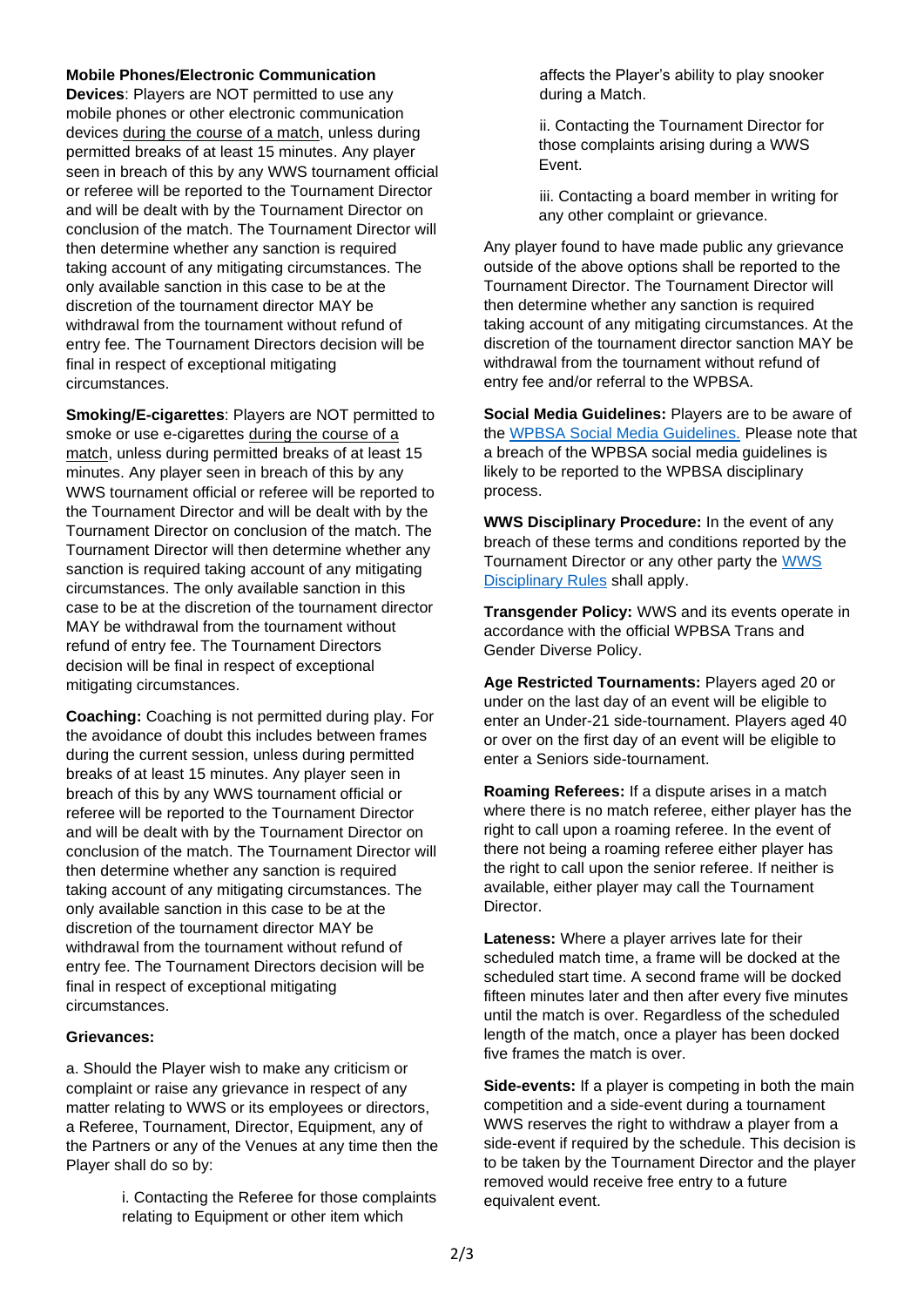## **Mobile Phones/Electronic Communication**

**Devices**: Players are NOT permitted to use any mobile phones or other electronic communication devices during the course of a match, unless during permitted breaks of at least 15 minutes. Any player seen in breach of this by any WWS tournament official or referee will be reported to the Tournament Director and will be dealt with by the Tournament Director on conclusion of the match. The Tournament Director will then determine whether any sanction is required taking account of any mitigating circumstances. The only available sanction in this case to be at the discretion of the tournament director MAY be withdrawal from the tournament without refund of entry fee. The Tournament Directors decision will be final in respect of exceptional mitigating circumstances.

**Smoking/E-cigarettes**: Players are NOT permitted to smoke or use e-cigarettes during the course of a match, unless during permitted breaks of at least 15 minutes. Any player seen in breach of this by any WWS tournament official or referee will be reported to the Tournament Director and will be dealt with by the Tournament Director on conclusion of the match. The Tournament Director will then determine whether any sanction is required taking account of any mitigating circumstances. The only available sanction in this case to be at the discretion of the tournament director MAY be withdrawal from the tournament without refund of entry fee. The Tournament Directors decision will be final in respect of exceptional mitigating circumstances.

**Coaching:** Coaching is not permitted during play. For the avoidance of doubt this includes between frames during the current session, unless during permitted breaks of at least 15 minutes. Any player seen in breach of this by any WWS tournament official or referee will be reported to the Tournament Director and will be dealt with by the Tournament Director on conclusion of the match. The Tournament Director will then determine whether any sanction is required taking account of any mitigating circumstances. The only available sanction in this case to be at the discretion of the tournament director MAY be withdrawal from the tournament without refund of entry fee. The Tournament Directors decision will be final in respect of exceptional mitigating circumstances.

## **Grievances:**

a. Should the Player wish to make any criticism or complaint or raise any grievance in respect of any matter relating to WWS or its employees or directors, a Referee, Tournament, Director, Equipment, any of the Partners or any of the Venues at any time then the Player shall do so by:

> i. Contacting the Referee for those complaints relating to Equipment or other item which

affects the Player's ability to play snooker during a Match.

ii. Contacting the Tournament Director for those complaints arising during a WWS Event.

iii. Contacting a board member in writing for any other complaint or grievance.

Any player found to have made public any grievance outside of the above options shall be reported to the Tournament Director. The Tournament Director will then determine whether any sanction is required taking account of any mitigating circumstances. At the discretion of the tournament director sanction MAY be withdrawal from the tournament without refund of entry fee and/or referral to the WPBSA.

**Social Media Guidelines:** Players are to be aware of the [WPBSA Social Media Guidelines.](https://wpbsa.com/wp-content/uploads/Social-Media-Guidelines.pdf) Please note that a breach of the WPBSA social media guidelines is likely to be reported to the WPBSA disciplinary process.

**WWS Disciplinary Procedure:** In the event of any breach of these terms and conditions reported by the Tournament Director or any other party the [WWS](https://www.womenssnooker.com/tournaments/rules/) [Disciplinary Rules](https://www.womenssnooker.com/tournaments/rules/) shall apply.

**Transgender Policy:** WWS and its events operate in accordance with the official WPBSA Trans and Gender Diverse Policy.

**Age Restricted Tournaments:** Players aged 20 or under on the last day of an event will be eligible to enter an Under-21 side-tournament. Players aged 40 or over on the first day of an event will be eligible to enter a Seniors side-tournament.

**Roaming Referees:** If a dispute arises in a match where there is no match referee, either player has the right to call upon a roaming referee. In the event of there not being a roaming referee either player has the right to call upon the senior referee. If neither is available, either player may call the Tournament Director.

**Lateness:** Where a player arrives late for their scheduled match time, a frame will be docked at the scheduled start time. A second frame will be docked fifteen minutes later and then after every five minutes until the match is over. Regardless of the scheduled length of the match, once a player has been docked five frames the match is over.

**Side-events:** If a player is competing in both the main competition and a side-event during a tournament WWS reserves the right to withdraw a player from a side-event if required by the schedule. This decision is to be taken by the Tournament Director and the player removed would receive free entry to a future equivalent event.